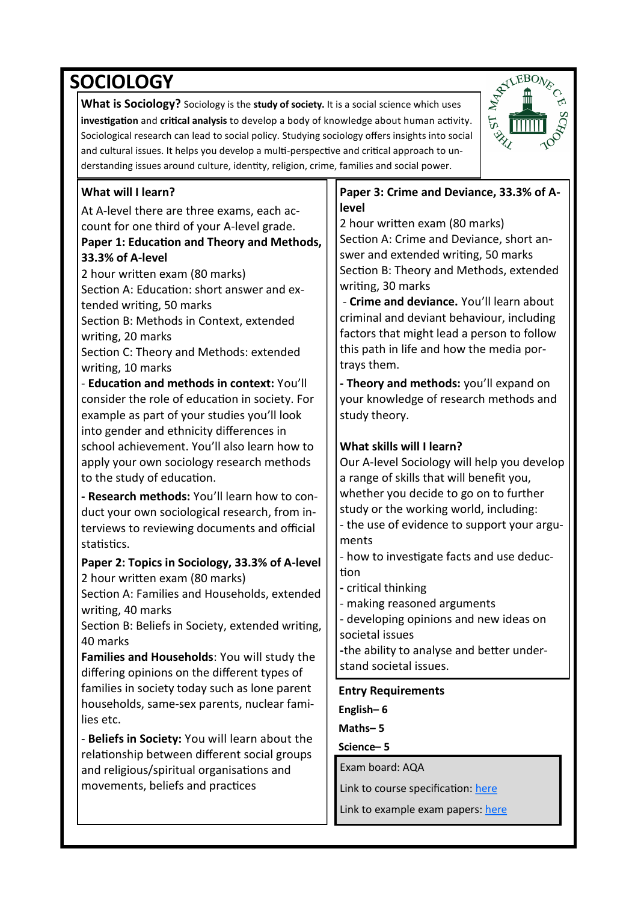# **SOCIOLOGY**

**What is Sociology?** Sociology is the **study of society.** It is a social science which uses **investigation** and **critical analysis** to develop a body of knowledge about human activity. Sociological research can lead to social policy. Studying sociology offers insights into social and cultural issues. It helps you develop a multi-perspective and critical approach to understanding issues around culture, identity, religion, crime, families and social power.



## **What will I learn?**

At A-level there are three exams, each account for one third of your A-level grade.

#### **Paper 1: Education and Theory and Methods, 33.3% of A-level**

2 hour written exam (80 marks) Section A: Education: short answer and extended writing, 50 marks

Section B: Methods in Context, extended writing, 20 marks

Section C: Theory and Methods: extended writing, 10 marks

- **Education and methods in context:** You'll consider the role of education in society. For example as part of your studies you'll look into gender and ethnicity differences in school achievement. You'll also learn how to apply your own sociology research methods to the study of education.

**- Research methods:** You'll learn how to conduct your own sociological research, from interviews to reviewing documents and official statistics.

### **Paper 2: Topics in Sociology, 33.3% of A-level**  2 hour written exam (80 marks)

Section A: Families and Households, extended writing, 40 marks

Section B: Beliefs in Society, extended writing, 40 marks

**Families and Households**: You will study the differing opinions on the different types of families in society today such as lone parent households, same-sex parents, nuclear families etc.

- **Beliefs in Society:** You will learn about the relationship between different social groups and religious/spiritual organisations and movements, beliefs and practices

#### **Paper 3: Crime and Deviance, 33.3% of Alevel**

2 hour written exam (80 marks) Section A: Crime and Deviance, short answer and extended writing, 50 marks Section B: Theory and Methods, extended writing, 30 marks

- **Crime and deviance.** You'll learn about criminal and deviant behaviour, including factors that might lead a person to follow this path in life and how the media portrays them.

**- Theory and methods:** you'll expand on your knowledge of research methods and study theory.

## **What skills will I learn?**

Our A-level Sociology will help you develop a range of skills that will benefit you, whether you decide to go on to further study or the working world, including: - the use of evidence to support your arguments

- how to investigate facts and use deduction

**-** critical thinking

- making reasoned arguments

- developing opinions and new ideas on societal issues

**-**the ability to analyse and better understand societal issues.

#### **Entry Requirements**

**English– 6**

**Maths– 5**

**Science– 5**

Exam board: AQA

Link to course specification: [here](https://www.aqa.org.uk/subjects/sociology/as-and-a-level/sociology-7191-7192/subject-content-a-level/topics-in-sociology#Beliefs_in_Society)

Link to example exam papers: [here](https://filestore.aqa.org.uk/sample-papers-and-mark-schemes/2018/june/AQA-71923R-QP-JUN18.PDF)